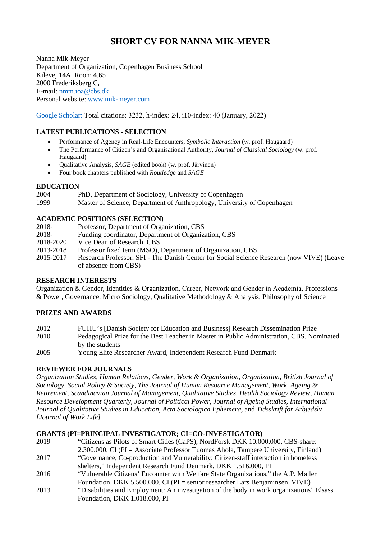# **SHORT CV FOR NANNA MIK-MEYER**

Nanna Mik-Meyer Department of Organization, Copenhagen Business School Kilevej 14A, Room 4.65 2000 Frederiksberg C, E-mail: [nmm.ioa@cbs.dk](mailto:nmm.ioa@cbs.dk) Personal website: [www.mik-meyer.com](http://www.mik-meyer.com/)

[Google Scholar:](https://scholar.google.com/citations?user=4DZzmDUAAAAJ&hl=da&oi=ao) Total citations: 3232, h-index: 24, i10-index: 40 (January, 2022)

# **LATEST PUBLICATIONS - SELECTION**

- Performance of Agency in Real-Life Encounters, *Symbolic Interaction* (w. prof. Haugaard)
- The Performance of Citizen's and Organisational Authority, *Journal of Classical Sociology* (w. prof. Haugaard)
- Qualitative Analysis, *SAGE* (edited book) (w. prof. Järvinen)
- Four book chapters published with *Routledge* and *SAGE*

# **EDUCATION**<br>2004

- 2004 PhD, Department of Sociology, University of Copenhagen<br>1999 Master of Science. Department of Anthropology. Universit
- Master of Science, Department of Anthropology, University of Copenhagen

# **ACADEMIC POSITIONS (SELECTION)**<br>2018- Professor. Department of Orga

- 2018- Professor, Department of Organization, CBS<br>2018- Funding coordinator. Department of Organization
- Funding coordinator, Department of Organization, CBS
- 2018-2020 Vice Dean of Research, CBS
- 2013-2018 Professor fixed term (MSO), Department of Organization, CBS<br>2015-2017 Research Professor, SFI The Danish Center for Social Science
- 2015-2017 Research Professor, SFI The Danish Center for Social Science Research (now VIVE) (Leave of absence from CBS)

### **RESEARCH INTERESTS**

Organization & Gender, Identities & Organization, Career, Network and Gender in Academia, Professions & Power, Governance, Micro Sociology, Qualitative Methodology & Analysis, Philosophy of Science

### **PRIZES AND AWARDS**

- 2012 FUHU's [Danish Society for Education and Business] Research Dissemination Prize
- 2010 Pedagogical Prize for the Best Teacher in Master in Public Administration, CBS. Nominated by the students
- 2005 Young Elite Researcher Award, Independent Research Fund Denmark

### **REVIEWER FOR JOURNALS**

*Organization Studies, Human Relations, Gender, Work & Organization, Organization, British Journal of Sociology, Social Policy & Society, The Journal of Human Resource Management, Work, Ageing & Retirement, Scandinavian Journal of Management, Qualitative Studies, Health Sociology Review, Human Resource Development Quarterly, Journal of Political Power, Journal of Ageing Studies, International Journal of Qualitative Studies in Education, Acta Sociologica Ephemera,* and *Tidsskrift for Arbjedslv [Journal of Work Life]*

#### **GRANTS (PI=PRINCIPAL INVESTIGATOR; CI=CO-INVESTIGATOR)**

- 2019 "Citizens as Pilots of Smart Cities (CaPS), NordForsk DKK 10.000.000, CBS-share: 2.300.000, CI (PI = Associate Professor Tuomas Ahola, Tampere University, Finland) 2017 "Governance, Co-production and Vulnerability: Citizen-staff interaction in homeless shelters," Independent Research Fund Denmark, DKK 1.516.000, PI 2016 "Vulnerable Citizens' Encounter with Welfare State Organizations," the A.P. Møller Foundation, DKK 5.500.000, CI (PI = senior researcher Lars Benjaminsen, VIVE)
- 2013 "Disabilities and Employment: An investigation of the body in work organizations" Elsass Foundation, DKK 1.018.000, PI